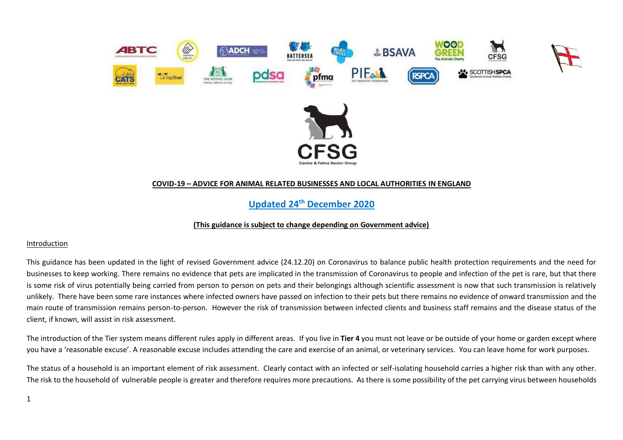

### **COVID-19 – ADVICE FOR ANIMAL RELATED BUSINESSES AND LOCAL AUTHORITIES IN ENGLAND**

**Updated 24th December 2020** 

#### **(This guidance is subject to change depending on Government advice)**

#### Introduction

This guidance has been updated in the light of revised Government advice (24.12.20) on Coronavirus to balance public health protection requirements and the need for businesses to keep working. There remains no evidence that pets are implicated in the transmission of Coronavirus to people and infection of the pet is rare, but that there is some risk of virus potentially being carried from person to person on pets and their belongings although scientific assessment is now that such transmission is relatively unlikely. There have been some rare instances where infected owners have passed on infection to their pets but there remains no evidence of onward transmission and the main route of transmission remains person-to-person. However the risk of transmission between infected clients and business staff remains and the disease status of the client, if known, will assist in risk assessment.

The introduction of the Tier system means different rules apply in different areas. If you live in **Tier 4** you must not leave or be outside of your home or garden except where you have a 'reasonable excuse'. A reasonable excuse includes attending the care and exercise of an animal, or veterinary services. You can leave home for work purposes.

The status of a household is an important element of risk assessment. Clearly contact with an infected or self-isolating household carries a higher risk than with any other. The risk to the household of vulnerable people is greater and therefore requires more precautions. As there is some possibility of the pet carrying virus between households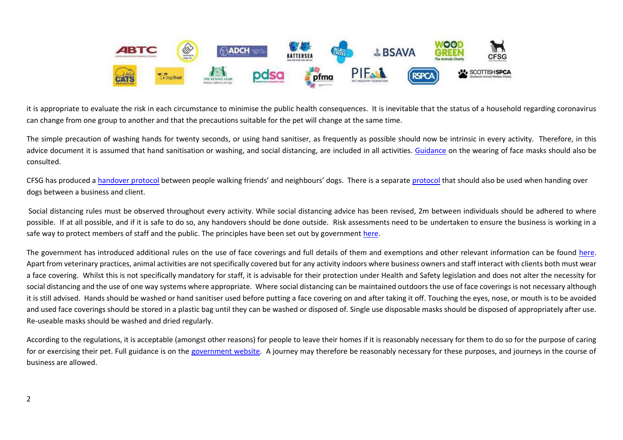

it is appropriate to evaluate the risk in each circumstance to minimise the public health consequences. It is inevitable that the status of a household regarding coronavirus can change from one group to another and that the precautions suitable for the pet will change at the same time.

The simple precaution of washing hands for twenty seconds, or using hand sanitiser, as frequently as possible should now be intrinsic in every activity. Therefore, in this advice document it is assumed that hand sanitisation or washing, and social distancing, are included in all activities. [Guidance](https://www.gov.uk/government/publications/face-coverings-when-to-wear-one-and-how-to-make-your-own/face-coverings-when-to-wear-one-and-how-to-make-your-own) on the wearing of face masks should also be consulted.

CFSG has produced a [handover protocol](http://www.cfsg.org.uk/coronavirus/_layouts/15/start.aspx#/) between people walking friends' and neighbours' dogs. There is a separate [protocol](http://www.cfsg.org.uk/coronavirus/_layouts/15/start.aspx#/) that should also be used when handing over dogs between a business and client.

Social distancing rules must be observed throughout every activity. While social distancing advice has been revised, 2m between individuals should be adhered to where possible. If at all possible, and if it is safe to do so, any handovers should be done outside. Risk assessments need to be undertaken to ensure the business is working in a safe way to protect members of staff and the public. The principles have been set out by government [here.](https://www.gov.uk/guidance/social-distancing-in-the-workplace-during-coronavirus-covid-19-sector-guidance)

The government has introduced additional rules on the use of face coverings and full details of them and exemptions and other relevant information can be found [here.](https://www.gov.uk/government/publications/face-coverings-when-to-wear-one-and-how-to-make-your-own/face-coverings-when-to-wear-one-and-how-to-make-your-own#when-to-wear-a-face-covering) Apart from veterinary practices, animal activities are not specifically covered but for any activity indoors where business owners and staff interact with clients both must wear a face covering. Whilst this is not specifically mandatory for staff, it is advisable for their protection under Health and Safety legislation and does not alter the necessity for social distancing and the use of one way systems where appropriate. Where social distancing can be maintained outdoors the use of face coverings is not necessary although it is still advised. Hands should be washed or hand sanitiser used before putting a face covering on and after taking it off. Touching the eyes, nose, or mouth is to be avoided and used face coverings should be stored in a plastic bag until they can be washed or disposed of. Single use disposable masks should be disposed of appropriately after use. Re-useable masks should be washed and dried regularly.

According to the regulations, it is acceptable (amongst other reasons) for people to leave their homes if it is reasonably necessary for them to do so for the purpose of caring for or exercising their pet. Full guidance is on the [government website.](https://www.gov.uk/guidance/new-national-restrictions-from-5-november?priority-taxon=774cee22-d896-44c1-a611-e3109cce8eae#businesses-and-venues) A journey may therefore be reasonably necessary for these purposes, and journeys in the course of business are allowed.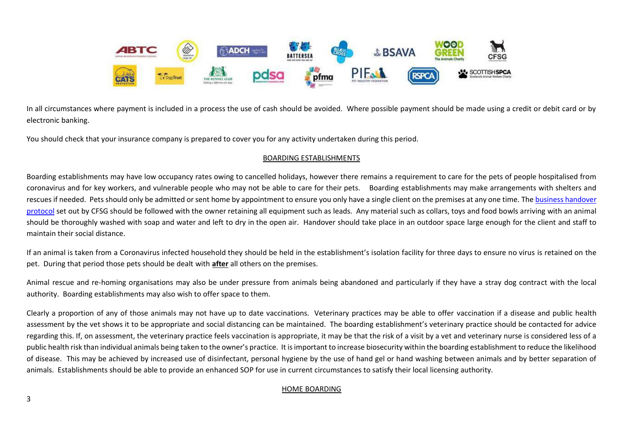

In all circumstances where payment is included in a process the use of cash should be avoided. Where possible payment should be made using a credit or debit card or by electronic banking.

You should check that your insurance company is prepared to cover you for any activity undertaken during this period.

# BOARDING ESTABLISHMENTS

Boarding establishments may have low occupancy rates owing to cancelled holidays, however there remains a requirement to care for the pets of people hospitalised from coronavirus and for key workers, and vulnerable people who may not be able to care for their pets. Boarding establishments may make arrangements with shelters and rescues if needed. Pets should only be admitted or sent home by appointment to ensure you only have a single client on the premises at any one time. The business handover [protocol](http://www.cfsg.org.uk/coronavirus/_layouts/15/start.aspx#/) set out by CFSG should be followed with the owner retaining all equipment such as leads. Any material such as collars, toys and food bowls arriving with an animal should be thoroughly washed with soap and water and left to dry in the open air. Handover should take place in an outdoor space large enough for the client and staff to maintain their social distance.

If an animal is taken from a Coronavirus infected household they should be held in the establishment's isolation facility for three days to ensure no virus is retained on the pet. During that period those pets should be dealt with **after** all others on the premises.

Animal rescue and re-homing organisations may also be under pressure from animals being abandoned and particularly if they have a stray dog contract with the local authority. Boarding establishments may also wish to offer space to them.

Clearly a proportion of any of those animals may not have up to date vaccinations. Veterinary practices may be able to offer vaccination if a disease and public health assessment by the vet shows it to be appropriate and social distancing can be maintained. The boarding establishment's veterinary practice should be contacted for advice regarding this. If, on assessment, the veterinary practice feels vaccination is appropriate, it may be that the risk of a visit by a vet and veterinary nurse is considered less of a public health risk than individual animals being taken to the owner's practice. It is important to increase biosecurity within the boarding establishment to reduce the likelihood of disease. This may be achieved by increased use of disinfectant, personal hygiene by the use of hand gel or hand washing between animals and by better separation of animals. Establishments should be able to provide an enhanced SOP for use in current circumstances to satisfy their local licensing authority.

# HOME BOARDING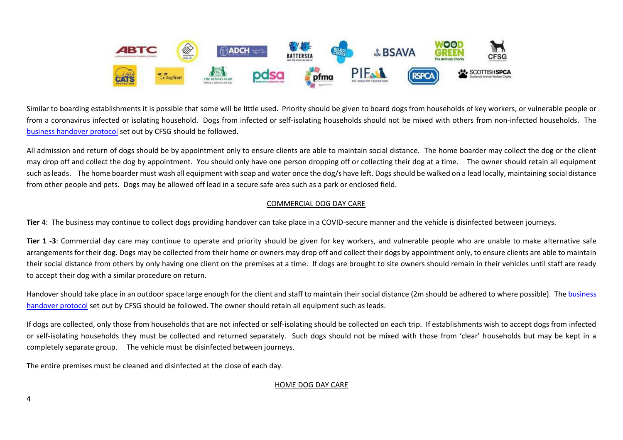

Similar to boarding establishments it is possible that some will be little used. Priority should be given to board dogs from households of key workers, or vulnerable people or from a coronavirus infected or isolating household. Dogs from infected or self-isolating households should not be mixed with others from non-infected households. The [business handover protocol](http://www.cfsg.org.uk/coronavirus/_layouts/15/start.aspx#/) set out by CFSG should be followed.

All admission and return of dogs should be by appointment only to ensure clients are able to maintain social distance. The home boarder may collect the dog or the client may drop off and collect the dog by appointment. You should only have one person dropping off or collecting their dog at a time. The owner should retain all equipment such as leads. The home boarder must wash all equipment with soap and water once the dog/s have left. Dogs should be walked on a lead locally, maintaining social distance from other people and pets. Dogs may be allowed off lead in a secure safe area such as a park or enclosed field.

# COMMERCIAL DOG DAY CARE

**Tier** 4: The business may continue to collect dogs providing handover can take place in a COVID-secure manner and the vehicle is disinfected between journeys.

**Tier 1 -3**: Commercial day care may continue to operate and priority should be given for key workers, and vulnerable people who are unable to make alternative safe arrangements for their dog. Dogs may be collected from their home or owners may drop off and collect their dogs by appointment only, to ensure clients are able to maintain their social distance from others by only having one client on the premises at a time. If dogs are brought to site owners should remain in their vehicles until staff are ready to accept their dog with a similar procedure on return.

Handover should take place in an outdoor space large enough for the client and staff to maintain their social distance (2m should be adhered to where possible). The business [handover protocol](http://www.cfsg.org.uk/coronavirus/_layouts/15/start.aspx#/) set out by CFSG should be followed. The owner should retain all equipment such as leads.

If dogs are collected, only those from households that are not infected or self-isolating should be collected on each trip. If establishments wish to accept dogs from infected or self-isolating households they must be collected and returned separately. Such dogs should not be mixed with those from 'clear' households but may be kept in a completely separate group. The vehicle must be disinfected between journeys.

The entire premises must be cleaned and disinfected at the close of each day.

### HOME DOG DAY CARE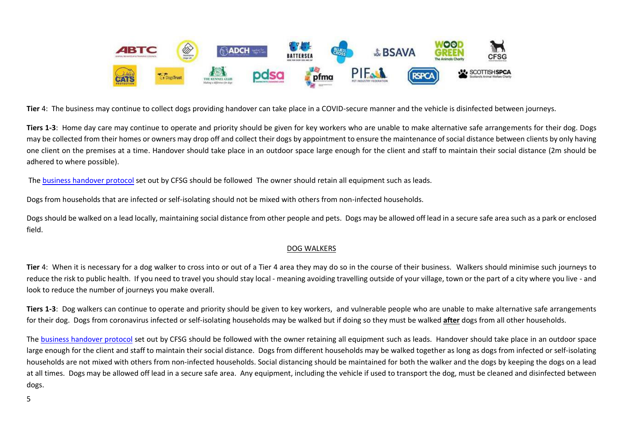

**Tier** 4: The business may continue to collect dogs providing handover can take place in a COVID-secure manner and the vehicle is disinfected between journeys.

**Tiers 1-3**: Home day care may continue to operate and priority should be given for key workers who are unable to make alternative safe arrangements for their dog. Dogs may be collected from their homes or owners may drop off and collect their dogs by appointment to ensure the maintenance of social distance between clients by only having one client on the premises at a time. Handover should take place in an outdoor space large enough for the client and staff to maintain their social distance (2m should be adhered to where possible).

The [business handover protocol](http://www.cfsg.org.uk/coronavirus/_layouts/15/start.aspx#/) set out by CFSG should be followed The owner should retain all equipment such as leads.

Dogs from households that are infected or self-isolating should not be mixed with others from non-infected households.

Dogs should be walked on a lead locally, maintaining social distance from other people and pets. Dogs may be allowed off lead in a secure safe area such as a park or enclosed field.

# DOG WALKERS

**Tier** 4: When it is necessary for a dog walker to cross into or out of a Tier 4 area they may do so in the course of their business. Walkers should minimise such journeys to reduce the risk to public health. If you need to travel you should stay local - meaning avoiding travelling outside of your village, town or the part of a city where you live - and look to reduce the number of journeys you make overall.

**Tiers 1-3**: Dog walkers can continue to operate and priority should be given to key workers, and vulnerable people who are unable to make alternative safe arrangements for their dog. Dogs from coronavirus infected or self-isolating households may be walked but if doing so they must be walked **after** dogs from all other households.

The [business handover protocol](http://www.cfsg.org.uk/coronavirus/_layouts/15/start.aspx#/) set out by CFSG should be followed with the owner retaining all equipment such as leads. Handover should take place in an outdoor space large enough for the client and staff to maintain their social distance. Dogs from different households may be walked together as long as dogs from infected or self-isolating households are not mixed with others from non-infected households. Social distancing should be maintained for both the walker and the dogs by keeping the dogs on a lead at all times. Dogs may be allowed off lead in a secure safe area. Any equipment, including the vehicle if used to transport the dog, must be cleaned and disinfected between dogs.

5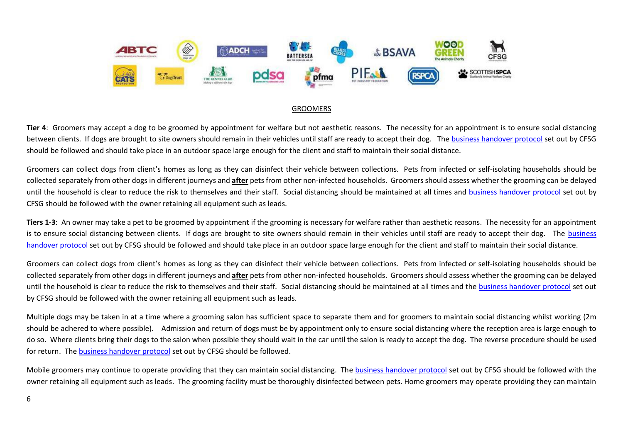

### GROOMERS

**Tier 4**:Groomers may accept a dog to be groomed by appointment for welfare but not aesthetic reasons. The necessity for an appointment is to ensure social distancing between clients. If dogs are brought to site owners should remain in their vehicles until staff are ready to accept their dog. The [business handover protocol](https://www.cfsg.org.uk/coronavirus/) set out by CFSG should be followed and should take place in an outdoor space large enough for the client and staff to maintain their social distance.

Groomers can collect dogs from client's homes as long as they can disinfect their vehicle between collections. Pets from infected or self-isolating households should be collected separately from other dogs in different journeys and **after** pets from other non-infected households. Groomers should assess whether the grooming can be delayed until the household is clear to reduce the risk to themselves and their staff. Social distancing should be maintained at all times and [business handover protocol](https://www.cfsg.org.uk/coronavirus/) set out by CFSG should be followed with the owner retaining all equipment such as leads.

**Tiers 1-3**: An owner may take a pet to be groomed by appointment if the grooming is necessary for welfare rather than aesthetic reasons. The necessity for an appointment is to ensure social distancing between clients. If dogs are brought to site owners should remain in their vehicles until staff are ready to accept their dog. The business [handover protocol](http://www.cfsg.org.uk/coronavirus/_layouts/15/start.aspx#/) set out by CFSG should be followed and should take place in an outdoor space large enough for the client and staff to maintain their social distance.

Groomers can collect dogs from client's homes as long as they can disinfect their vehicle between collections. Pets from infected or self-isolating households should be collected separately from other dogs in different journeys and **after** pets from other non-infected households. Groomers should assess whether the grooming can be delayed until the household is clear to reduce the risk to themselves and their staff. Social distancing should be maintained at all times and the [business handover protocol](http://www.cfsg.org.uk/_layouts/15/start.aspx#/SitePages/Home.aspx) set out by CFSG should be followed with the owner retaining all equipment such as leads.

Multiple dogs may be taken in at a time where a grooming salon has sufficient space to separate them and for groomers to maintain social distancing whilst working (2m should be adhered to where possible). Admission and return of dogs must be by appointment only to ensure social distancing where the reception area is large enough to do so. Where clients bring their dogs to the salon when possible they should wait in the car until the salon is ready to accept the dog. The reverse procedure should be used for return. Th[e business handover protocol](http://www.cfsg.org.uk/coronavirus/_layouts/15/start.aspx#/) set out by CFSG should be followed.

Mobile groomers may continue to operate providing that they can maintain social distancing. The [business handover protocol](http://www.cfsg.org.uk/coronavirus/_layouts/15/start.aspx#/) set out by CFSG should be followed with the owner retaining all equipment such as leads. The grooming facility must be thoroughly disinfected between pets. Home groomers may operate providing they can maintain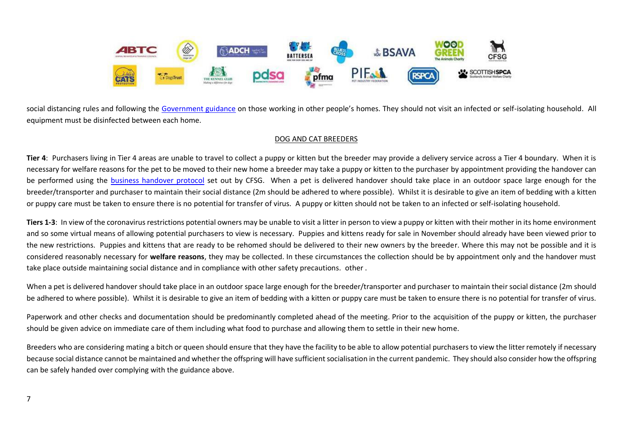

social distancing rules and following the [Government guidance](https://www.gov.uk/guidance/working-safely-during-coronavirus-covid-19/homes) on those working in other people's homes. They should not visit an infected or self-isolating household. All equipment must be disinfected between each home.

## DOG AND CAT BREEDERS

**Tier 4**: Purchasers living in Tier 4 areas are unable to travel to collect a puppy or kitten but the breeder may provide a delivery service across a Tier 4 boundary. When it is necessary for welfare reasons for the pet to be moved to their new home a breeder may take a puppy or kitten to the purchaser by appointment providing the handover can be performed using the [business handover protocol](https://www.cfsg.org.uk/coronavirus/) set out by CFSG. When a pet is delivered handover should take place in an outdoor space large enough for the breeder/transporter and purchaser to maintain their social distance (2m should be adhered to where possible). Whilst it is desirable to give an item of bedding with a kitten or puppy care must be taken to ensure there is no potential for transfer of virus. A puppy or kitten should not be taken to an infected or self-isolating household.

Tiers 1-3: In view of the coronavirus restrictions potential owners may be unable to visit a litter in person to view a puppy or kitten with their mother in its home environment and so some virtual means of allowing potential purchasers to view is necessary. Puppies and kittens ready for sale in November should already have been viewed prior to the new restrictions. Puppies and kittens that are ready to be rehomed should be delivered to their new owners by the breeder. Where this may not be possible and it is considered reasonably necessary for **welfare reasons**, they may be collected. In these circumstances the collection should be by appointment only and the handover must take place outside maintaining social distance and in compliance with other safety precautions. other .

When a pet is delivered handover should take place in an outdoor space large enough for the breeder/transporter and purchaser to maintain their social distance (2m should be adhered to where possible). Whilst it is desirable to give an item of bedding with a kitten or puppy care must be taken to ensure there is no potential for transfer of virus.

Paperwork and other checks and documentation should be predominantly completed ahead of the meeting. Prior to the acquisition of the puppy or kitten, the purchaser should be given advice on immediate care of them including what food to purchase and allowing them to settle in their new home.

Breeders who are considering mating a bitch or queen should ensure that they have the facility to be able to allow potential purchasers to view the litter remotely if necessary because social distance cannot be maintained and whether the offspring will have sufficient socialisation in the current pandemic. They should also consider how the offspring can be safely handed over complying with the guidance above.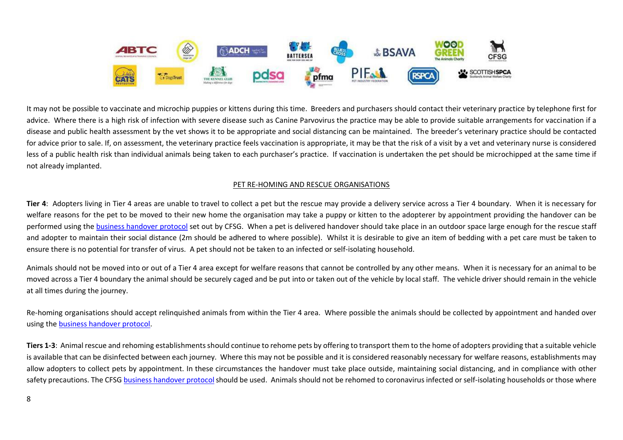

It may not be possible to vaccinate and microchip puppies or kittens during this time. Breeders and purchasers should contact their veterinary practice by telephone first for advice. Where there is a high risk of infection with severe disease such as Canine Parvovirus the practice may be able to provide suitable arrangements for vaccination if a disease and public health assessment by the vet shows it to be appropriate and social distancing can be maintained. The breeder's veterinary practice should be contacted for advice prior to sale. If, on assessment, the veterinary practice feels vaccination is appropriate, it may be that the risk of a visit by a vet and veterinary nurse is considered less of a public health risk than individual animals being taken to each purchaser's practice. If vaccination is undertaken the pet should be microchipped at the same time if not already implanted.

# PET RE-HOMING AND RESCUE ORGANISATIONS

**Tier 4**:Adopters living in Tier 4 areas are unable to travel to collect a pet but the rescue may provide a delivery service across a Tier 4 boundary. When it is necessary for welfare reasons for the pet to be moved to their new home the organisation may take a puppy or kitten to the adopterer by appointment providing the handover can be performed using the [business handover protocol](https://www.cfsg.org.uk/coronavirus/) set out by CFSG. When a pet is delivered handover should take place in an outdoor space large enough for the rescue staff and adopter to maintain their social distance (2m should be adhered to where possible). Whilst it is desirable to give an item of bedding with a pet care must be taken to ensure there is no potential for transfer of virus. A pet should not be taken to an infected or self-isolating household.

Animals should not be moved into or out of a Tier 4 area except for welfare reasons that cannot be controlled by any other means. When it is necessary for an animal to be moved across a Tier 4 boundary the animal should be securely caged and be put into or taken out of the vehicle by local staff. The vehicle driver should remain in the vehicle at all times during the journey.

Re-homing organisations should accept relinquished animals from within the Tier 4 area. Where possible the animals should be collected by appointment and handed over using the [business handover protocol.](https://www.cfsg.org.uk/coronavirus/)

**Tiers 1-3**:Animal rescue and rehoming establishments should continue to rehome pets by offering to transport them to the home of adopters providing that a suitable vehicle is available that can be disinfected between each journey. Where this may not be possible and it is considered reasonably necessary for welfare reasons, establishments may allow adopters to collect pets by appointment. In these circumstances the handover must take place outside, maintaining social distancing, and in compliance with other safety precautions. The CFSG business handover protocol should be used. Animals should not be rehomed to coronavirus infected or self-isolating households or those where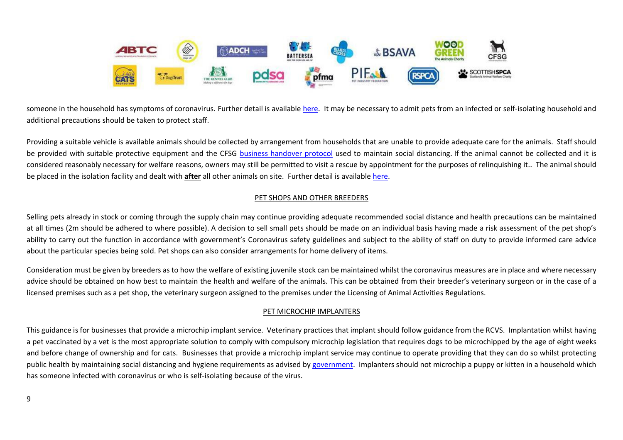

someone in the household has symptoms of coronavirus. Further detail is available [here.](http://www.cfsg.org.uk/coronavirus/_layouts/15/start.aspx#/) It may be necessary to admit pets from an infected or self-isolating household and additional precautions should be taken to protect staff.

Providing a suitable vehicle is available animals should be collected by arrangement from households that are unable to provide adequate care for the animals. Staff should be provided with suitable protective equipment and the CFSG [business handover protocol](http://www.cfsg.org.uk/coronavirus/_layouts/15/start.aspx#/) used to maintain social distancing. If the animal cannot be collected and it is considered reasonably necessary for welfare reasons, owners may still be permitted to visit a rescue by appointment for the purposes of relinquishing it.. The animal should be placed in the isolation facility and dealt with **after** all other animals on site. Further detail is available [here.](http://www.cfsg.org.uk/coronavirus/_layouts/15/start.aspx#/)

## PET SHOPS AND OTHER BREEDERS

Selling pets already in stock or coming through the supply chain may continue providing adequate recommended social distance and health precautions can be maintained at all times (2m should be adhered to where possible). A decision to sell small pets should be made on an individual basis having made a risk assessment of the pet shop's ability to carry out the function in accordance with government's Coronavirus safety guidelines and subject to the ability of staff on duty to provide informed care advice about the particular species being sold. Pet shops can also consider arrangements for home delivery of items.

Consideration must be given by breeders as to how the welfare of existing juvenile stock can be maintained whilst the coronavirus measures are in place and where necessary advice should be obtained on how best to maintain the health and welfare of the animals. This can be obtained from their breeder's veterinary surgeon or in the case of a licensed premises such as a pet shop, the veterinary surgeon assigned to the premises under the Licensing of Animal Activities Regulations.

### PET MICROCHIP IMPLANTERS

This guidance is for businesses that provide a microchip implant service. Veterinary practices that implant should follow guidance from the RCVS. Implantation whilst having a pet vaccinated by a vet is the most appropriate solution to comply with compulsory microchip legislation that requires dogs to be microchipped by the age of eight weeks and before change of ownership and for cats. Businesses that provide a microchip implant service may continue to operate providing that they can do so whilst protecting public health by maintaining social distancing and hygiene requirements as advised by [government.](https://www.gov.uk/guidance/working-safely-during-coronavirus-covid-19/homes) Implanters should not microchip a puppy or kitten in a household which has someone infected with coronavirus or who is self-isolating because of the virus.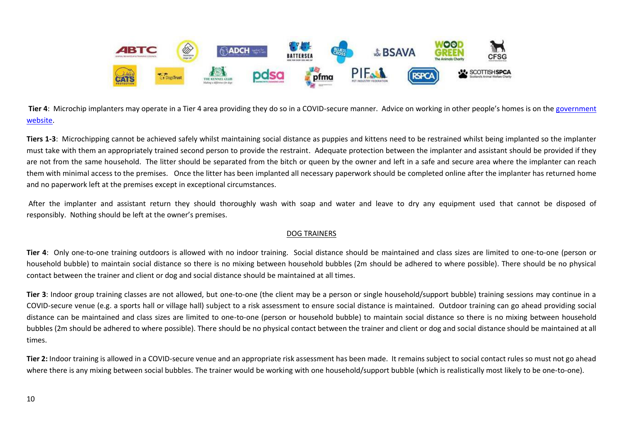

**Tier 4**: Microchip implanters may operate in a Tier 4 area providing they do so in a COVID-secure manner. Advice on working in other people's homes is on the [government](https://www.gov.uk/guidance/working-safely-during-coronavirus-covid-19/homes)  [website.](https://www.gov.uk/guidance/working-safely-during-coronavirus-covid-19/homes)

**Tiers 1-3**:Microchipping cannot be achieved safely whilst maintaining social distance as puppies and kittens need to be restrained whilst being implanted so the implanter must take with them an appropriately trained second person to provide the restraint. Adequate protection between the implanter and assistant should be provided if they are not from the same household. The litter should be separated from the bitch or queen by the owner and left in a safe and secure area where the implanter can reach them with minimal access to the premises. Once the litter has been implanted all necessary paperwork should be completed online after the implanter has returned home and no paperwork left at the premises except in exceptional circumstances.

After the implanter and assistant return they should thoroughly wash with soap and water and leave to dry any equipment used that cannot be disposed of responsibly. Nothing should be left at the owner's premises.

### DOG TRAINERS

**Tier 4**: Only one-to-one training outdoors is allowed with no indoor training. Social distance should be maintained and class sizes are limited to one-to-one (person or household bubble) to maintain social distance so there is no mixing between household bubbles (2m should be adhered to where possible). There should be no physical contact between the trainer and client or dog and social distance should be maintained at all times.

**Tier 3**: Indoor group training classes are not allowed, but one-to-one (the client may be a person or single household/support bubble) training sessions may continue in a COVID-secure venue (e.g. a sports hall or village hall) subject to a risk assessment to ensure social distance is maintained. Outdoor training can go ahead providing social distance can be maintained and class sizes are limited to one-to-one (person or household bubble) to maintain social distance so there is no mixing between household bubbles (2m should be adhered to where possible). There should be no physical contact between the trainer and client or dog and social distance should be maintained at all times.

**Tier 2:** Indoor training is allowed in a COVID-secure venue and an appropriate risk assessment has been made. It remains subject to social contact rules so must not go ahead where there is any mixing between social bubbles. The trainer would be working with one household/support bubble (which is realistically most likely to be one-to-one).